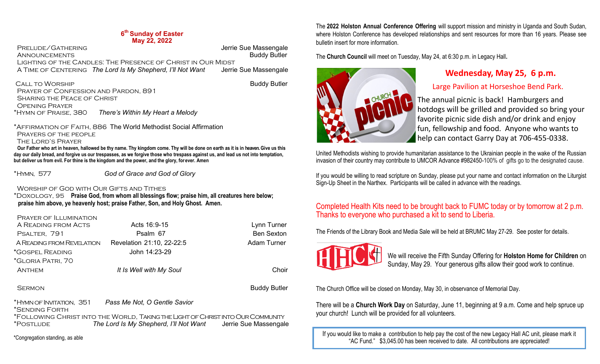#### **6 th Sunday of Easter May 22, 2022**

 Prelude/Gathering Jerrie Sue Massengale **ANNOUNCEMENTS**  Lighting of the Candles: The Presence of Christ in Our Midst A Time of Centering *The Lord Is My Shepherd, I'll Not Want* Jerrie Sue Massengale

CALL TO WORSHIP **Buddy Butler**  Prayer of Confession and Pardon, 891 SHARING THE PEACE OF CHRIST Opening Prayer \*Hymn of Praise, 380 *There's Within My Heart a Melody*

\*Affirmation of Faith, 886 The World Methodist Social Affirmation Prayers of the people

The Lord's Prayer

 **Our Father who art in heaven, hallowed be thy name. Thy kingdom come. Thy will be done on earth as it is in heaven. Give us this day our daily bread, and forgive us our trespasses, as we forgive those who trespass against us, and lead us not into temptation, but deliver us from evil. For thine is the kingdom and the power, and the glory, for ever. Amen**

\*Hymn, 577 *God of Grace and God of Glory*

Worship of God with Our Gifts and Tithes

\*Doxology, 95 **Praise God, from whom all blessings flow; praise him, all creatures here below; praise him above, ye heavenly host; praise Father, Son, and Holy Ghost. Amen.** 

### Prayer of Illumination

| A READING FROM ACTS       | Acts 16:9-15              | Lynn Turner        |
|---------------------------|---------------------------|--------------------|
| PSALTER, 791              | Psalm 67                  | <b>Ben Sexton</b>  |
| A READING FROM REVELATION | Revelation 21:10, 22-22:5 | <b>Adam Turner</b> |
| *GOSPEL READING           | John 14:23-29             |                    |
| *GLORIA PATRI, 70         |                           |                    |
| ANTHEM                    | It Is Well with My Soul   | Choir              |
|                           |                           |                    |

SERMON **Buddy Butler** SERMON

\*Hymn of Invitation, 351 *Pass Me Not, O Gentle Savior* \*Sending Forth \*Following Christ into the World, Taking the Light of Christ into Our Community \*Postlude *The Lord Is My Shepherd, I'll Not Want* Jerrie Sue Massengale

\*Congregation standing, as able

The **2022 Holston Annual Conference Offering** will support mission and ministry in Uganda and South Sudan, where Holston Conference has developed relationships and sent resources for more than 16 years. Please see bulletin insert for more information.

The **Church Council** will meet on Tuesday, May 24, at 6:30 p.m. in Legacy Hall**.** 



# **Wednesday, May 25, 6 p.m.**

Large Pavilion at Horseshoe Bend Park.

The annual picnic is back! Hamburgers and hotdogs will be grilled and provided so bring your favorite picnic side dish and/or drink and enjoy fun, fellowship and food. Anyone who wants to help can contact Garry Day at 706-455-0338.

United Methodists wishing to provide humanitarian assistance to the Ukrainian people in the wake of the Russian invasion of their country may contribute to UMCOR Advance #982450-100% of gifts go to the designated cause.

If you would be willing to read scripture on Sunday, please put your name and contact information on the Liturgist Sign-Up Sheet in the Narthex. Participants will be called in advance with the readings.

## Completed Health Kits need to be brought back to FUMC today or by tomorrow at 2 p.m. Thanks to everyone who purchased a kit to send to Liberia.

The Friends of the Library Book and Media Sale will be held at BRUMC May 27-29. See poster for details.



We will receive the Fifth Sunday Offering for **Holston Home for Children** on Sunday, May 29. Your generous gifts allow their good work to continue.

The Church Office will be closed on Monday, May 30, in observance of Memorial Day.

There will be a **Church Work Day** on Saturday, June 11, beginning at 9 a.m. Come and help spruce up your church! Lunch will be provided for all volunteers.

If you would like to make a contribution to help pay the cost of the new Legacy Hall AC unit, please mark it "AC Fund." \$3,045.00 has been received to date. All contributions are appreciated!